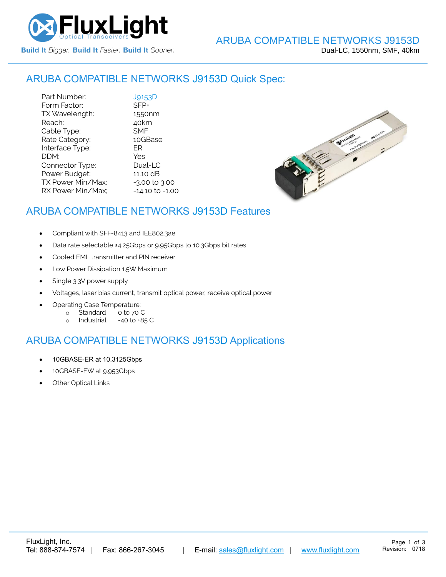

#### ARUBA COMPATIBLE NETWORKS [J9153D](https://www.fluxlight.com/J9153d/) Quick Spec:

Part Number: [J9153D](https://www.fluxlight.com/J9153d/)<br>Form Factor: SFP+ Form Factor: TX Wavelength: 1550nm Reach: 40km Cable Type: SMF Rate Category: 10GBase Interface Type: ER DDM: Yes Connector Type: Dual-LC Power Budget: 11.10 dB  $TX$  Power Min/Max:  $-3.00$  to  $3.00$ RX Power Min/Max; - 14.10 to -1.00



## ARUBA COMPATIBLE NETWORKS [J9153D](https://www.fluxlight.com/J9153d/) Features

- Compliant with SFF-8413 and IEE802.3ae
- Data rate selectable ≤4.25Gbps or 9.95Gbps to 10.3Gbps bit rates
- Cooled EML transmitter and PIN receiver
- Low Power Dissipation 1.5W Maximum
- Single 3.3V power supply
- Voltages, laser bias current, transmit optical power, receive optical power
- Operating Case Temperature:
	- o Standard 0 to 70 C
	- o Industrial -40 to +85 C

### ARUBA COMPATIBLE NETWORKS [J9153D](https://www.fluxlight.com/J9153d/) Applications

- 10GBASE-ER at 10.3125Gbps
- 10GBASE-EW at 9.953Gbps
- **Other Optical Links**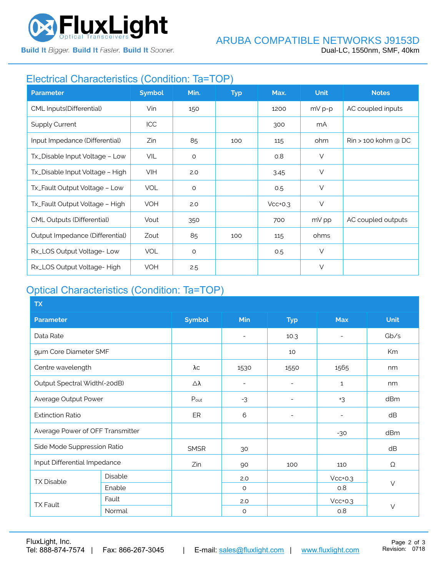

**Build It Bigger. Build It Faster. Build It Sooner.** 

# Electrical Characteristics (Condition: Ta=TOP)

| <b>Parameter</b>                  | <b>Symbol</b> | Min.    | <b>Typ</b> | Max.      | <b>Unit</b> | <b>Notes</b>          |
|-----------------------------------|---------------|---------|------------|-----------|-------------|-----------------------|
| CML Inputs(Differential)          | Vin           | 150     |            | 1200      | $mV p-p$    | AC coupled inputs     |
| <b>Supply Current</b>             | <b>ICC</b>    |         |            | 300       | mA          |                       |
| Input Impedance (Differential)    | Zin           | 85      | 100        | 115       | ohm         | $Rin > 100$ kohm @ DC |
| Tx_Disable Input Voltage - Low    | VIL           | $\circ$ |            | O.8       | $\vee$      |                       |
| Tx_Disable Input Voltage - High   | <b>VIH</b>    | 2.0     |            | 3.45      | $\vee$      |                       |
| Tx_Fault Output Voltage - Low     | <b>VOL</b>    | $\circ$ |            | 0.5       | $\vee$      |                       |
| Tx_Fault Output Voltage - High    | <b>VOH</b>    | 2.0     |            | $Vcc+0.3$ | $\vee$      |                       |
| <b>CML Outputs (Differential)</b> | Vout          | 350     |            | 700       | mV pp       | AC coupled outputs    |
| Output Impedance (Differential)   | Zout          | 85      | 100        | 115       | ohms        |                       |
| Rx_LOS Output Voltage-Low         | <b>VOL</b>    | $\circ$ |            | 0.5       | $\vee$      |                       |
| Rx_LOS Output Voltage-High        | <b>VOH</b>    | 2.5     |            |           | V           |                       |

# Optical Characteristics (Condition: Ta=TOP)

| <b>TX</b>                        |         |               |                          |                          |                          |             |
|----------------------------------|---------|---------------|--------------------------|--------------------------|--------------------------|-------------|
| <b>Parameter</b>                 |         | <b>Symbol</b> | Min                      | <b>Typ</b>               | <b>Max</b>               | <b>Unit</b> |
| Data Rate                        |         |               | $\overline{\phantom{0}}$ | 10.3                     | $\overline{a}$           | Gb/s        |
| 9µm Core Diameter SMF            |         |               |                          | 10                       |                          | Km          |
| Centre wavelength                |         | λс            | 1530                     | 1550                     | 1565                     | nm          |
| Output Spectral Width(-20dB)     |         | Δλ            | $\overline{\phantom{a}}$ | $\overline{\phantom{0}}$ | $\mathbf{1}$             | nm          |
| Average Output Power             |         | $P_{out}$     | $-3$                     | $\overline{\phantom{a}}$ | $+3$                     | dBm         |
| <b>Extinction Ratio</b>          |         | ER            | 6                        | $\overline{\phantom{a}}$ | $\overline{\phantom{0}}$ | dB          |
| Average Power of OFF Transmitter |         |               |                          |                          | $-30$                    | dBm         |
| Side Mode Suppression Ratio      |         | <b>SMSR</b>   | 30                       |                          |                          | dB          |
| Input Differential Impedance     |         | Zin           | 90                       | 100                      | 110                      | Ω           |
| <b>TX Disable</b>                | Disable |               | 2.0                      |                          | $Vcc+0.3$                |             |
|                                  | Enable  |               | $\circ$                  |                          | 0.8                      | $\vee$      |
| <b>TX Fault</b>                  | Fault   |               | 2.0                      |                          | $Vcc+0.3$                |             |
|                                  | Normal  |               | $\circ$                  |                          | 0.8                      | $\vee$      |